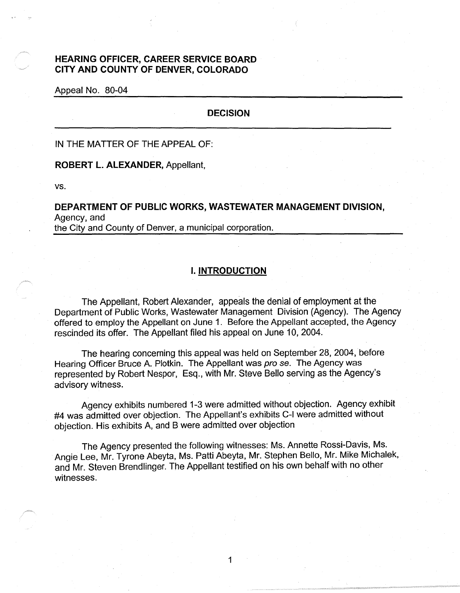# **HEARING OFFICER, CAREER SERVICE BOARD CITY AND COUNTY OF DENVER, COLORADO**

Appeal No. 80-04

## **DECISION**

IN THE MATTER OF THE APPEAL OF:

**ROBERT L. ALEXANDER,** Appellant,

vs.

# **DEPARTMENT OF PUBLIC WORKS, WASTEWATER MANAGEMENT DIVISION,**  Agency.and the City and County of Denver, a municipal corporation.

#### I. **INTRODUCTION**

The Appellant, Robert Alexander, appeals the denial of employment at the Department of Public Works, Wastewater Management Division (Agency). The Agency offered to employ the Appellant on June 1. Before the Appellant accepted, the Agency rescinded its offer. The Appellant filed his appeal on June 10, 2004.

The hearing concerning this appeal was held on September 28, 2004, before Hearing Officer Bruce A. Plotkin. The Appellant was pro se. The Agency was represented by Robert Nespor, Esq., with Mr. Steve Bello serving as the Agency's advisory witness.

Agency exhibits numbered 1-3 were admitted without objection. Agency exhibit #4 was admitted over objection. The Appellant's exhibits C-1 were admitted without objection. His exhibits A, and B were admitted over objection

The Agency presented the following witnesses: Ms. Annette Rossi-Davis, Ms. Angie Lee, Mr. Tyrone Abeyta, Ms. Patti Abeyta, Mr. Stephen Bello, Mr. Mike Michalek, and Mr. Steven Brendlinger. The Appellant testified on his own behalf with no other witnesses.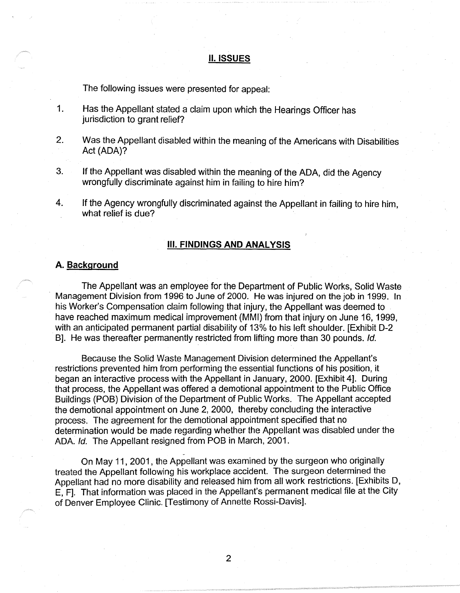#### II. **ISSUES**

The following issues were presented for appeal:

- 1. Has the Appellant stated a claim upon which the Hearings Officer has jurisdiction to grant relief?
- 2. Was the Appellant disabled within the meaning of the Americans with Disabilities Act (ADA)?
- 3. If the Appellant was disabled within the meaning of the ADA, did the Agency wrongfully discriminate against him in failing to hire him?
- 4. If the Agency wrongfully discriminated against the Appellant in failing to hire him, what relief is due?

#### Ill. **FINDINGS AND ANALYSIS**

### **A. Background**

The Appellant was an employee for the Department of Public Works, Solid Waste Management Division from 1996 to June of 2000. He was injured on the job in 1999. In his Worker's Compensation claim following that injury, the Appellant was deemed to have reached maximum medical improvement (MMI) from that injury on June 16, 1999, with an anticipated permanent partial disability of 13% to his left shoulder. [Exhibit D-2 B]. He was thereafter permanently restricted from lifting more than 30 pounds. Id.

Because the Solid Waste Management Division determined the Appellant's restrictions prevented him from performing the essential functions of his position, it began an interactive process with the Appellant in January, 2000. [Exhibit 4]. During that process, the Appellant was offered a demotional appointment to the Public Office Buildings (POB) Division of the Department of Public Works. The Appellant accepted the demotional appointment on June 2, 2000, thereby concluding the interactive process. The agreement for the demotional appointment specified that no determination would be made regarding whether the Appellant was disabled under the ADA. Id. The Appellant resigned from POB in March, 2001.

- On May 11, 2001, the Appellant was examined by the surgeon who originally treated the Appellant following his workplace accident. The surgeon determined the Appellant had no more disability and released him from all work restrictions. [Exhibits D, E, F]. That information was placed in the Appellant's permanent medical file at the City of Denver Employee Clinic. [Testimony of Annette Rossi-Davis].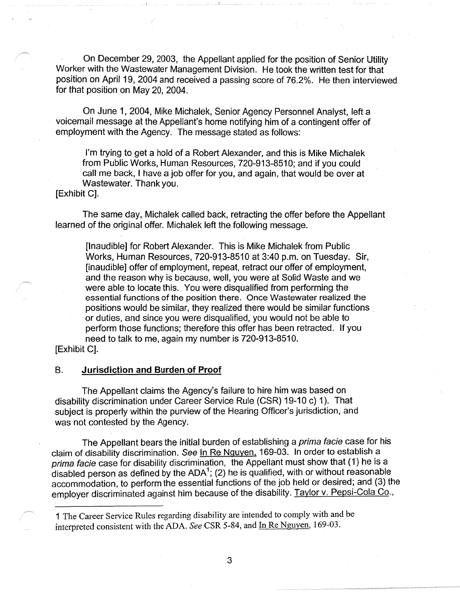· On December 29, 2003, the Appellant applied for the position of Senior Utility Worker with the Wastewater Management Division. He took the written test for that position on April 19, 2004 and received a passing score of 76.2%. He then interviewed for that position on May 20, 2004.

On June 1, 2004, Mike Michalek, Senior Agency Personnel Analyst, left a voicemail message at the Appellant's home notifying him of a contingent offer of employment with the Agency. The message stated as follows:

I'm trying to get a hold of a Robert Alexander, and this is Mike Michalek from Public Works, Human Resources, 720-913-8510; and if you could call me back, I have a job offer for you, and again, that would be over at Wastewater. Thank you.

[Exhibit C].

The same day, Michalek called back, retracting the offer before the Appellant learned of the original offer. Michalek left the following message.

[Inaudible] for Robert Alexander. This is Mike Michalek from Public Works, Human Resources, 720-913-8510 at 3:40 p.m. on Tuesday. Sir, [inaudible] offer of employment, repeat, retract our offer of employment, and the reason why is because, well, you were at Solid Waste and we were able to locate this. You were disqualified from performing the essential functions of the position there. Once Wastewater realized the positions would be similar, they realized there would be similar functions . or duties, and since you were disqualified, you would not be able to perform those functions; therefore this offer has been retracted. If you need to talk to me, again my number is 720-913-8510.

[Exhibit C].

## B. **Jurisdiction and Burden of Proof**

The Appellant claims the Agency's failure to hire him was based on disability discrimination under Career Service Rule (CSR) 19-10 c) 1). That subject is properly within the purview of the Hearing Officer's jurisdiction, and was not contested by the Agency.

The Appellant bears the initial burden of establishing a *prima facie* case for his claim of disability discrimination. See In Re Nguyen, 169-03. In order to establish a prima facie case for disability discrimination, the Appellant must show that (1) he is a disabled person as defined by the ADA<sup>1</sup>; (2) he is qualified, with or without reasonable accommodation, to perform the essential functions of the job held or desired; and (3) the employer discriminated against him because of the disability. Taylor v. Pepsi-Cola Co.,

1 The Career Service Rules regarding disability are intended to comply with and be interpreted consistent with the ADA. *See* CSR 5-84, and In Re Nguyen, 169-03.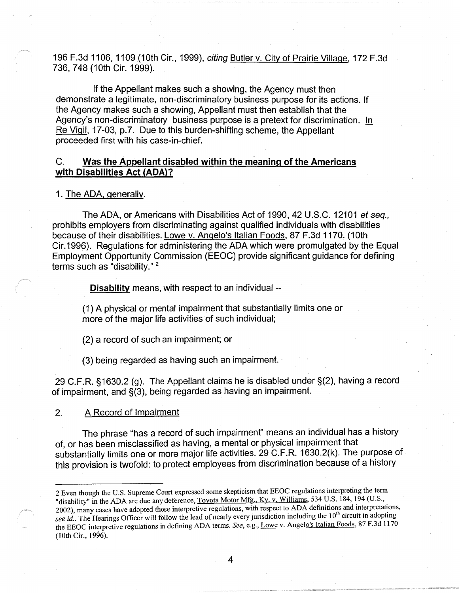196 F .3d 1106, 1109 (10th Cir., 1999), citing Butler v. City of Prairie Village, 172 F .3d 736, 7 48 (10th Cir. 1999).

If the Appellant makes such a showing, the Agency must then demonstrate a legitimate, non-discriminatory business purpose for its actions. If the Agency makes such a showing, Appellant must then establish that the Agency's non-discriminatory business purpose is a pretext for discrimination. In Re Vigil, 17-03, p.7. Due to this burden-shifting scheme, the Appellant proceeded first with his case-in-chief.

# C. **Was the Appellant disabled within the meaning of the Americans with Disabilities Act (ADA)?**

1. The ADA, generally.

The ADA, or Americans with Disabilities Act of 1990, 42 U.S.C. 12101 et seq., prohibits employers from discriminating against qualified individuals with disabilities because of their disabilities. Lowe v. Angelo's Italian Foods, 87 F.3d 1170, (10th Cir.1996). Regulations for administering the ADA which were promulgated by the Equal Employment Opportunity Commission (EEOC) provide significant guidance for defining terms such as "disability."<sup>2</sup>

**Disability** means, with respect to an individual --

(1) A physical or mental impairment that substantially limits one or more of the major life activities of such individual;

(2) a record of such an impairment; or

(3) being regarded as having such an impairment. ·

29 C.F.R. §1630.2 (g). The Appellant claims he is disabled under §(2), having a record of impairment, and §(3), being regarded as having an impairment.

2. A Record of Impairment

The phrase "has a record of such impairment" means an individual has a history of, or has been misclassified as having, a mental or physical impairment that substantially limits one or more major life activities. 29 C.F.R. 1630.2(k). The purpose of this provision is twofold: to protect employees from discrimination because of a history

<sup>2</sup> Even though the U.S. Supreme Court expressed some skepticism that EEOC regulations interpreting the term "disability" in the ADA are due any deference, Toyota Motor Mfg., Ky. v. Williams, 534 U.S. 184, 194 (U.S., 2002), many cases have adopted those interpretive regulations, with respect to ADA definitions and interpretations, see id.. The Hearings Officer will follow the lead of nearly every jurisdiction including the 10<sup>th</sup> circuit in adopting the EEOC interpretive regulations in defining ADA terms. *See,* e.g., Lowe v. Angelo's Italian Foods, 87 F.3d 1170 (10th Cir., 1996).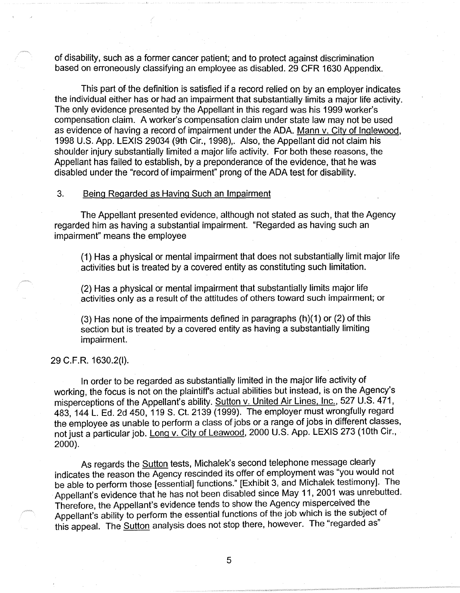of disability, such as a former cancer patient; and to protect against discrimination based on erroneously classifying an employee as disabled. 29 CFR 1630 Appendix.

This part of the definition is satisfied if a record relied on by an employer indicates the individual either has or had an impairment that substantially limits a major life activity. The only evidence presented by the Appellant in this regard was his 1999 worker's compensation claim. A worker's compensation claim under state law may not be used as evidence of having a record of impairment under the ADA. Mann v. City of Inglewood, 1998 U.S. App. LEXIS 29034 (9th Cir., 1998),. Also, the Appellant did not claim his shoulder injury substantially limited a major life activity. For both these reasons, the Appellant has failed to establish, by a preponderance of the evidence, that he was disabled under the "record of impairment" prong of the ADA test for disability.

## 3. Being Regarded as Having Such an Impairment

The Appellant presented evidence, although not stated as such, that the Agency regarded him as having a substantial impairment. "Regarded as having such an impairment" means the employee

(1) Has a physical or mental impairment that does not substantially limit major life activities but is treated by a covered entity as constituting such limitation.

(2) Has a physical or mental impairment that substantially limits major life activities only as a result of the attitudes of others toward such impairment; or

(3) Has none of the impairments defined in paragraphs (h)(1) or (2) of this section but is treated by a covered entity as having a substantially limiting impairment.

#### 29 C.F.R. 1630.2(1).

In order to be regarded as substantially limited in the major life activity of working, the focus is not on the plaintiff's actual abilities but instead, is on the Agency's misperceptions of the Appellant's ability. Sutton v. United Air Lines. Inc., 527 U.S. 471, 483, 144 L. Ed. 2d 450, 119 S. Ct. 2139 (1999). The employer must wrongfully regard the employee as unable to perform a class of jobs or a range of jobs in different classes, not just a particular job. Long v. City of Leawood, 2000 U.S. App. LEXIS 273 (10th Cir., 2000).

As regards the **Sutton** tests, Michalek's second telephone message clearly indicates the reason the Agency rescinded its offer of employment was "you would not be able to perform those [essential] functions." [Exhibit 3, and Michalek testimony]. The Appellant's evidence that he has not been disabled since May 11, 2001 was unrebutted. Therefore, the Appellant's evidence tends to show the Agency misperceived the Appellant's ability to perform the essential functions of the job which is the subject of this appeal. The **Sutton** analysis does not stop there, however. The "regarded as"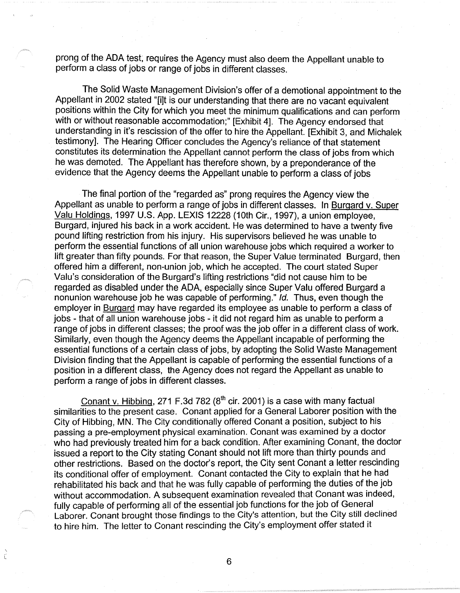prong of the ADA test; requires the Agency must also deem the Appellant unable to perform a class of jobs or range of jobs in different classes.

The Solid Waste Management Division's offer of a demotional appointment to the Appellant in 2002 stated "[i]t is our understanding that there are no vacant equivalent positions within the City for which you meet the minimum qualifications and can perform with or without reasonable accommodation;" [Exhibit 4]. The Agency endorsed that understanding in it's rescission of the offer to hire the Appellant. [Exhibit 3, and Michalek testimony]. The Hearing Officer concludes the Agency's reliance of that statement constitutes its determination the Appellant cannot perform the class of jobs from which he was demoted. The Appellant has therefore shown, by a preponderance of the evidence that the Agency deems the Appellant unable to perform a class of jobs

The final portion of the "regarded as" prong requires the Agency view the Appellant as unable to perform a range of jobs in different classes. In Burgard v. Super Valu Holdings, 1997 U.S. App. LEXIS 12228 (10th Cir., 1997), a union employee, Burgard, injured his back in a work accident. He was determined to have a twenty five pound lifting restriction from his injury. His supervisors believed he was unable to perform the essential functions of all union warehouse jobs which required a worker to lift greater than fifty pounds. For that reason, the Super Value terminated Burgard, then offered him a different, non-union job, which he accepted. The court stated Super Valu's consideration of the Burgard's lifting restrictions "did not cause him to be regarded as disabled under the ADA, especially since Super Valu offered Burgard a nonunion warehouse job he was capable of performing." Id. Thus, even though the employer in Burgard may have regarded its employee as unable to perform a class of jobs - that of all union warehouse jobs - it did not regard him as unable to perform a range of jobs in different classes; the proof was the job offer in a different class of work. Similarly, even though the Agency deems the Appellant incapable of performing the essential functions of a certain class of jobs, by adopting the Solid Waste Management Division finding that the Appellant is capable of performing the essential functions of a position in a different class, the Agency does not regard the Appellant as unable to perform a range of jobs in different classes.

Conant v. Hibbing, 271 F.3d 782 ( $8<sup>th</sup>$  cir. 2001) is a case with many factual similarities to the present case. Conant applied for a General Laborer position with the City of Hibbing, MN. The City conditionally offered Conant a position, subject to his passing a pre-employment physical examination. Conant was examined by a doctor who had previously treated him for a back condition. After examining Conant, the doctor issued a report to the City stating Conant should not lift more than thirty pounds and other restrictions. Based on the doctor's report, the City sent Conant a letter rescinding its conditional offer of employment. Conant contacted the City to explain that he had rehabilitated his back and that he was fully capable of performing the duties of the job without accommodation. A subsequent examination revealed that Conant was indeed, fully capable of performing all of the essential job functions for the job of General Laborer. Conant brought those findings to the City's attention, but the City still declined to hire him. The letter to Conant rescinding the City's employment offer stated it

6

È